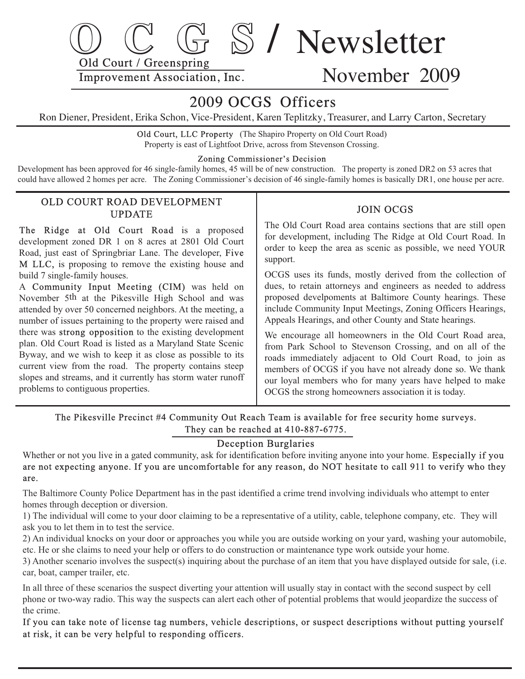

# November 2009

## 2009 OCGS Officers

Ron Diener, President, Erika Schon, Vice-President, Karen Teplitzky, Treasurer, and Larry Carton, Secretary

 Old Court, LLC Property (The Shapiro Property on Old Court Road) Property is east of Lightfoot Drive, across from Stevenson Crossing.

#### Zoning Commissioner's Decision

Development has been approved for 46 single-family homes, 45 will be of new construction. The property is zoned DR2 on 53 acres that could have allowed 2 homes per acre. The Zoning Commissioner's decision of 46 single-family homes is basically DR1, one house per acre.

### OLD COURT ROAD DEVELOPMENT UPDATE

The Ridge at Old Court Road is a proposed development zoned DR 1 on 8 acres at 2801 Old Court Road, just east of Springbriar Lane. The developer, Five M LLC, is proposing to remove the existing house and build 7 single-family houses.

 A Community Input Meeting (CIM) was held on November 5<sup>th</sup> at the Pikesville High School and was attended by over 50 concerned neighbors. At the meeting, a number of issues pertaining to the property were raised and there was strong opposition to the existing development plan. Old Court Road is listed as a Maryland State Scenic Byway, and we wish to keep it as close as possible to its current view from the road. The property contains steep slopes and streams, and it currently has storm water runoff problems to contiguous properties.

### JOIN OCGS

 The Old Court Road area contains sections that are still open for development, including The Ridge at Old Court Road. In order to keep the area as scenic as possible, we need YOUR support.

 OCGS uses its funds, mostly derived from the collection of dues, to retain attorneys and engineers as needed to address proposed develpoments at Baltimore County hearings. These include Community Input Meetings, Zoning Officers Hearings, Appeals Hearings, and other County and State hearings.

 We encourage all homeowners in the Old Court Road area, from Park School to Stevenson Crossing, and on all of the roads immediately adjacent to Old Court Road, to join as members of OCGS if you have not already done so. We thank our loyal members who for many years have helped to make OCGS the strong homeowners association it is today.

 The Pikesville Precinct #4 Community Out Reach Team is available for free security home surveys. They can be reached at 410-887-6775.

### Deception Burglaries

Whether or not you live in a gated community, ask for identification before inviting anyone into your home. Especially if you are not expecting anyone. If you are uncomfortable for any reason, do NOT hesitate to call 911 to verify who they are.

The Baltimore County Police Department has in the past identified a crime trend involving individuals who attempt to enter homes through deception or diversion.

 1) The individual will come to your door claiming to be a representative of a utility, cable, teleph one company, etc. They will ask you to let them in to test the service.

 2) An individual knocks on your door or approaches you while you are outside working on your yard, w ashing your automobile, etc. He or she claims to need your help or offers to do construction or maintenance type work outside your home.

3) Another scenario involves the suspect(s) inquiring about the purchase of an item that you have displayed outside for sale, (i.e. car, boat, camper trailer, etc.

In all three of these scenarios the suspect diverting your attention will usually stay in contact with the second suspect by cell phone or two-way radio. This way the suspects can alert each other of potential problems that would jeopardize the success of the crime.

If you can take note of license tag numbers, vehicle descriptions, or suspect descriptions without putting yourself at risk, it can be very helpful to responding officers.